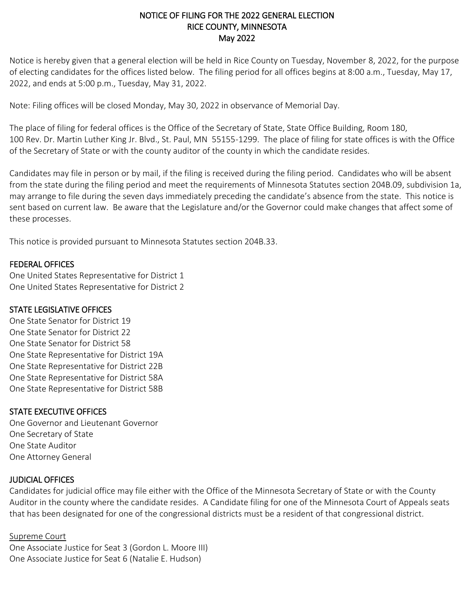## NOTICE OF FILING FOR THE 2022 GENERAL ELECTION RICE COUNTY, MINNESOTA May 2022

Notice is hereby given that a general election will be held in Rice County on Tuesday, November 8, 2022, for the purpose of electing candidates for the offices listed below. The filing period for all offices begins at 8:00 a.m., Tuesday, May 17, 2022, and ends at 5:00 p.m., Tuesday, May 31, 2022.

Note: Filing offices will be closed Monday, May 30, 2022 in observance of Memorial Day.

The place of filing for federal offices is the Office of the Secretary of State, State Office Building, Room 180, 100 Rev. Dr. Martin Luther King Jr. Blvd., St. Paul, MN 55155-1299. The place of filing for state offices is with the Office of the Secretary of State or with the county auditor of the county in which the candidate resides.

Candidates may file in person or by mail, if the filing is received during the filing period. Candidates who will be absent from the state during the filing period and meet the requirements of Minnesota Statutes section 204B.09, subdivision 1a, may arrange to file during the seven days immediately preceding the candidate's absence from the state. This notice is sent based on current law. Be aware that the Legislature and/or the Governor could make changes that affect some of these processes.

This notice is provided pursuant to Minnesota Statutes section 204B.33.

### FEDERAL OFFICES

One United States Representative for District 1 One United States Representative for District 2

## STATE LEGISLATIVE OFFICES

One State Senator for District 19 One State Senator for District 22 One State Senator for District 58 One State Representative for District 19A One State Representative for District 22B One State Representative for District 58A One State Representative for District 58B

## STATE EXECUTIVE OFFICES

One Governor and Lieutenant Governor One Secretary of State One State Auditor One Attorney General

#### JUDICIAL OFFICES

Candidates for judicial office may file either with the Office of the Minnesota Secretary of State or with the County Auditor in the county where the candidate resides. A Candidate filing for one of the Minnesota Court of Appeals seats that has been designated for one of the congressional districts must be a resident of that congressional district.

#### Supreme Court

One Associate Justice for Seat 3 (Gordon L. Moore III) One Associate Justice for Seat 6 (Natalie E. Hudson)